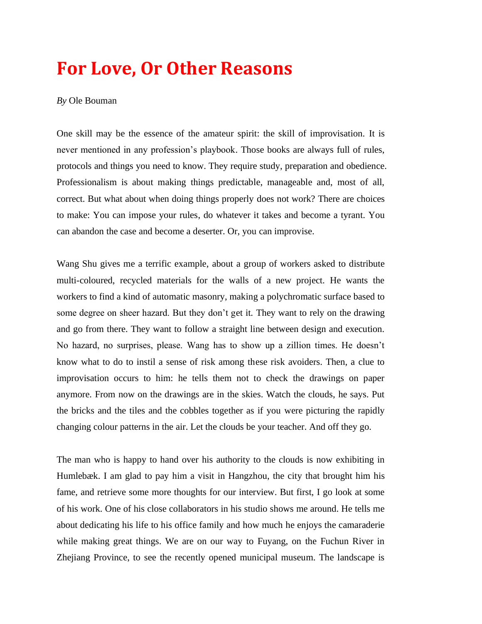# **For Love, Or Other Reasons**

#### *By* Ole Bouman

One skill may be the essence of the amateur spirit: the skill of improvisation. It is never mentioned in any profession's playbook. Those books are always full of rules, protocols and things you need to know. They require study, preparation and obedience. Professionalism is about making things predictable, manageable and, most of all, correct. But what about when doing things properly does not work? There are choices to make: You can impose your rules, do whatever it takes and become a tyrant. You can abandon the case and become a deserter. Or, you can improvise.

Wang Shu gives me a terrific example, about a group of workers asked to distribute multi-coloured, recycled materials for the walls of a new project. He wants the workers to find a kind of automatic masonry, making a polychromatic surface based to some degree on sheer hazard. But they don't get it. They want to rely on the drawing and go from there. They want to follow a straight line between design and execution. No hazard, no surprises, please. Wang has to show up a zillion times. He doesn't know what to do to instil a sense of risk among these risk avoiders. Then, a clue to improvisation occurs to him: he tells them not to check the drawings on paper anymore. From now on the drawings are in the skies. Watch the clouds, he says. Put the bricks and the tiles and the cobbles together as if you were picturing the rapidly changing colour patterns in the air. Let the clouds be your teacher. And off they go.

The man who is happy to hand over his authority to the clouds is now exhibiting in Humlebæk. I am glad to pay him a visit in Hangzhou, the city that brought him his fame, and retrieve some more thoughts for our interview. But first, I go look at some of his work. One of his close collaborators in his studio shows me around. He tells me about dedicating his life to his office family and how much he enjoys the camaraderie while making great things. We are on our way to Fuyang, on the Fuchun River in Zhejiang Province, to see the recently opened municipal museum. The landscape is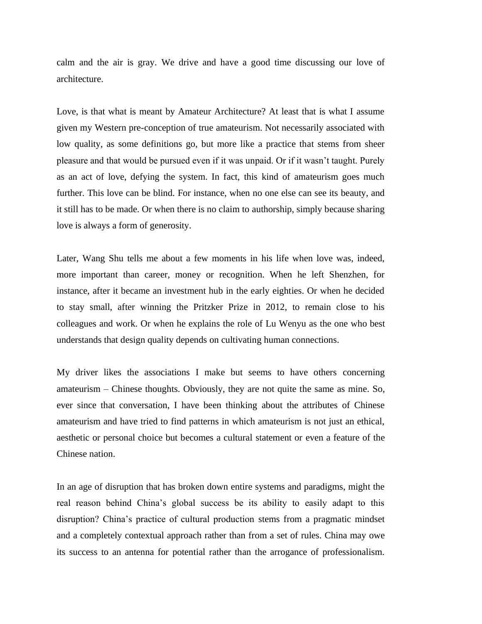calm and the air is gray. We drive and have a good time discussing our love of architecture.

Love, is that what is meant by Amateur Architecture? At least that is what I assume given my Western pre-conception of true amateurism. Not necessarily associated with low quality, as some definitions go, but more like a practice that stems from sheer pleasure and that would be pursued even if it was unpaid. Or if it wasn't taught. Purely as an act of love, defying the system. In fact, this kind of amateurism goes much further. This love can be blind. For instance, when no one else can see its beauty, and it still has to be made. Or when there is no claim to authorship, simply because sharing love is always a form of generosity.

Later, Wang Shu tells me about a few moments in his life when love was, indeed, more important than career, money or recognition. When he left Shenzhen, for instance, after it became an investment hub in the early eighties. Or when he decided to stay small, after winning the Pritzker Prize in 2012, to remain close to his colleagues and work. Or when he explains the role of Lu Wenyu as the one who best understands that design quality depends on cultivating human connections.

My driver likes the associations I make but seems to have others concerning amateurism – Chinese thoughts. Obviously, they are not quite the same as mine. So, ever since that conversation, I have been thinking about the attributes of Chinese amateurism and have tried to find patterns in which amateurism is not just an ethical, aesthetic or personal choice but becomes a cultural statement or even a feature of the Chinese nation.

In an age of disruption that has broken down entire systems and paradigms, might the real reason behind China's global success be its ability to easily adapt to this disruption? China's practice of cultural production stems from a pragmatic mindset and a completely contextual approach rather than from a set of rules. China may owe its success to an antenna for potential rather than the arrogance of professionalism.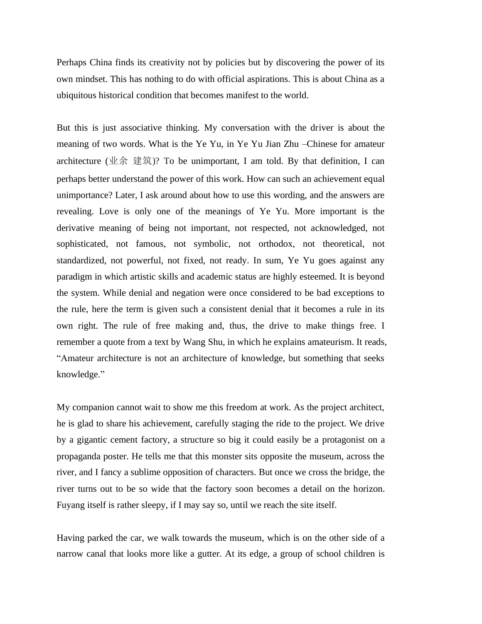Perhaps China finds its creativity not by policies but by discovering the power of its own mindset. This has nothing to do with official aspirations. This is about China as a ubiquitous historical condition that becomes manifest to the world.

But this is just associative thinking. My conversation with the driver is about the meaning of two words. What is the Ye Yu, in Ye Yu Jian Zhu –Chinese for amateur architecture  $(\mathcal{H} \hat{\mathcal{F}} \ncong \mathfrak{F})$ ? To be unimportant, I am told. By that definition, I can perhaps better understand the power of this work. How can such an achievement equal unimportance? Later, I ask around about how to use this wording, and the answers are revealing. Love is only one of the meanings of Ye Yu. More important is the derivative meaning of being not important, not respected, not acknowledged, not sophisticated, not famous, not symbolic, not orthodox, not theoretical, not standardized, not powerful, not fixed, not ready. In sum, Ye Yu goes against any paradigm in which artistic skills and academic status are highly esteemed. It is beyond the system. While denial and negation were once considered to be bad exceptions to the rule, here the term is given such a consistent denial that it becomes a rule in its own right. The rule of free making and, thus, the drive to make things free. I remember a quote from a text by Wang Shu, in which he explains amateurism. It reads, "Amateur architecture is not an architecture of knowledge, but something that seeks knowledge."

My companion cannot wait to show me this freedom at work. As the project architect, he is glad to share his achievement, carefully staging the ride to the project. We drive by a gigantic cement factory, a structure so big it could easily be a protagonist on a propaganda poster. He tells me that this monster sits opposite the museum, across the river, and I fancy a sublime opposition of characters. But once we cross the bridge, the river turns out to be so wide that the factory soon becomes a detail on the horizon. Fuyang itself is rather sleepy, if I may say so, until we reach the site itself.

Having parked the car, we walk towards the museum, which is on the other side of a narrow canal that looks more like a gutter. At its edge, a group of school children is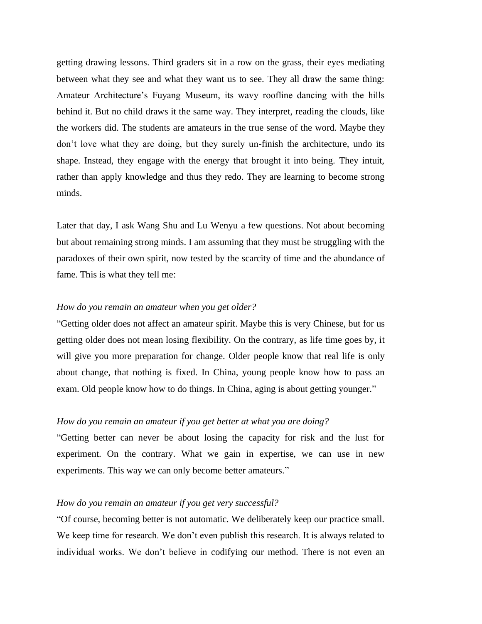getting drawing lessons. Third graders sit in a row on the grass, their eyes mediating between what they see and what they want us to see. They all draw the same thing: Amateur Architecture's Fuyang Museum, its wavy roofline dancing with the hills behind it. But no child draws it the same way. They interpret, reading the clouds, like the workers did. The students are amateurs in the true sense of the word. Maybe they don't love what they are doing, but they surely un-finish the architecture, undo its shape. Instead, they engage with the energy that brought it into being. They intuit, rather than apply knowledge and thus they redo. They are learning to become strong minds.

Later that day, I ask Wang Shu and Lu Wenyu a few questions. Not about becoming but about remaining strong minds. I am assuming that they must be struggling with the paradoxes of their own spirit, now tested by the scarcity of time and the abundance of fame. This is what they tell me:

## *How do you remain an amateur when you get older?*

"Getting older does not affect an amateur spirit. Maybe this is very Chinese, but for us getting older does not mean losing flexibility. On the contrary, as life time goes by, it will give you more preparation for change. Older people know that real life is only about change, that nothing is fixed. In China, young people know how to pass an exam. Old people know how to do things. In China, aging is about getting younger."

### *How do you remain an amateur if you get better at what you are doing?*

"Getting better can never be about losing the capacity for risk and the lust for experiment. On the contrary. What we gain in expertise, we can use in new experiments. This way we can only become better amateurs."

## *How do you remain an amateur if you get very successful?*

"Of course, becoming better is not automatic. We deliberately keep our practice small. We keep time for research. We don't even publish this research. It is always related to individual works. We don't believe in codifying our method. There is not even an